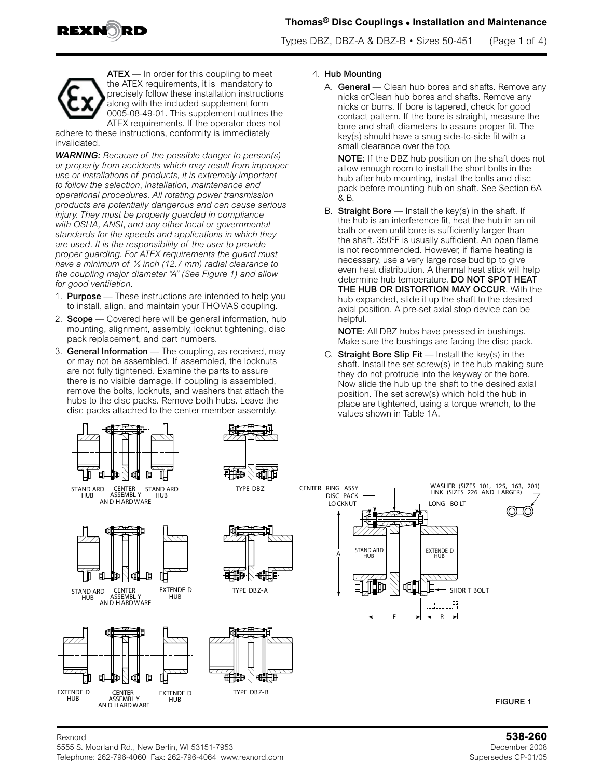

Types DBZ, DBZ-A & DBZ-B  $\cdot$  Sizes 50-451 (Page 1 of 4)



**ATEX** — In order for this coupling to meet the ATEX requirements, it is mandatory to precisely follow these installation instructions along with the included supplement form 0005-08-49-01. This supplement outlines the ATEX requirements. If the operator does not

adhere to these instructions, conformity is immediately invalidated.

*WARNING: Because of the possible danger to person(s) or property from accidents which may result from improper use or installations of products, it is extremely important to follow the selection, installation, maintenance and operational procedures. All rotating power transmission products are potentially dangerous and can cause serious injury. They must be properly guarded in compliance with OSHA, ANSI, and any other local or governmental standards for the speeds and applications in which they are used. It is the responsibility of the user to provide proper guarding. For ATEX requirements the guard must have a minimum of ½ inch (12.7 mm) radial clearance to the coupling major diameter "A" (See Figure 1) and allow for good ventilation.*

- 1. **Purpose** These instructions are intended to help you to install, align, and maintain your THOMAS coupling.
- 2. **Scope** Covered here will be general information, hub mounting, alignment, assembly, locknut tightening, disc pack replacement, and part numbers.
- 3. General Information The coupling, as received, may or may not be assembled. If assembled, the locknuts are not fully tightened. Examine the parts to assure there is no visible damage. If coupling is assembled, remove the bolts, locknuts, and washers that attach the hubs to the disc packs. Remove both hubs. Leave the disc packs attached to the center member assembly.



A. General - Clean hub bores and shafts. Remove any nicks orClean hub bores and shafts. Remove any nicks or burrs. If bore is tapered, check for good contact pattern. If the bore is straight, measure the bore and shaft diameters to assure proper fit. The key(s) should have a snug side-to-side fit with a small clearance over the top.

NOTE: If the DBZ hub position on the shaft does not allow enough room to install the short bolts in the hub after hub mounting, install the bolts and disc pack before mounting hub on shaft. See Section 6A & B.

B. Straight Bore  $-$  Install the key(s) in the shaft. If the hub is an interference fit, heat the hub in an oil bath or oven until bore is sufficiently larger than the shaft. 350ºF is usually sufficient. An open flame is not recommended. However, if flame heating is necessary, use a very large rose bud tip to give even heat distribution. A thermal heat stick will help determine hub temperature. DO NOT SPOT HEAT THE HUB OR DISTORTION MAY OCCUR. With the hub expanded, slide it up the shaft to the desired axial position. A pre-set axial stop device can be helpful.

NOTE: All DBZ hubs have pressed in bushings. Make sure the bushings are facing the disc pack.

C. Straight Bore Slip  $Fit$  — Install the key(s) in the shaft. Install the set screw(s) in the hub making sure they do not protrude into the keyway or the bore. Now slide the hub up the shaft to the desired axial position. The set screw(s) which hold the hub in place are tightened, using a torque wrench, to the values shown in Table 1A.



### Rexnord **538-260** 5555 S. Moorland Rd., New Berlin, WI 53151-7953 December 2008 Telephone: 262-796-4060 Fax: 262-796-4064 www.rexnord.com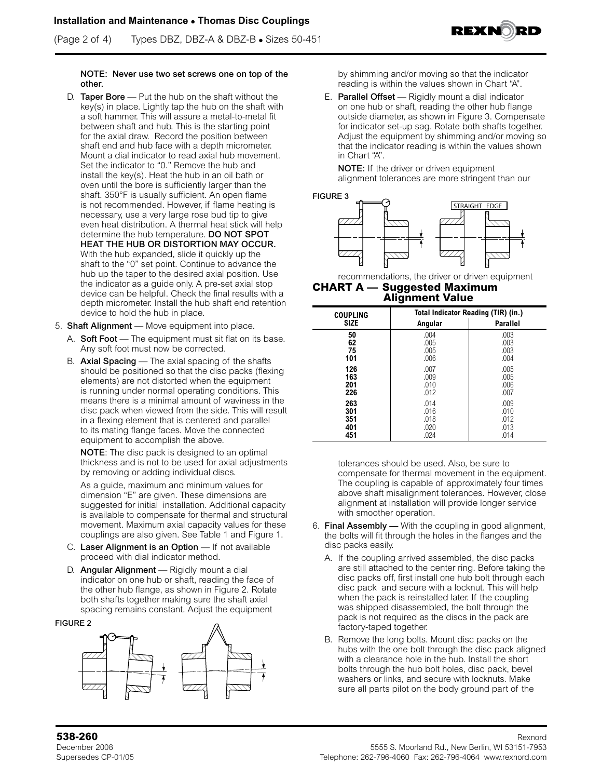(Page 2 of 4) Types DBZ, DBZ-A & DBZ-B **•** Sizes 50-451



### NOTE: Never use two set screws one on top of the other.

- D. Taper Bore Put the hub on the shaft without the key(s) in place. Lightly tap the hub on the shaft with a soft hammer. This will assure a metal-to-metal fit between shaft and hub. This is the starting point for the axial draw. Record the position between shaft end and hub face with a depth micrometer. Mount a dial indicator to read axial hub movement. Set the indicator to "0." Remove the hub and install the key(s). Heat the hub in an oil bath or oven until the bore is sufficiently larger than the shaft. 350°F is usually sufficient. An open flame is not recommended. However, if flame heating is necessary, use a very large rose bud tip to give even heat distribution. A thermal heat stick will help determine the hub temperature. DO NOT SPOT HEAT THE HUB OR DISTORTION MAY OCCUR. With the hub expanded, slide it quickly up the shaft to the "0" set point. Continue to advance the hub up the taper to the desired axial position. Use the indicator as a guide only. A pre-set axial stop device can be helpful. Check the final results with a depth micrometer. Install the hub shaft end retention device to hold the hub in place.
- 5. Shaft Alignment Move equipment into place.
	- A. Soft Foot The equipment must sit flat on its base. Any soft foot must now be corrected.
	- B. Axial Spacing The axial spacing of the shafts should be positioned so that the disc packs (flexing elements) are not distorted when the equipment is running under normal operating conditions. This means there is a minimal amount of waviness in the disc pack when viewed from the side. This will result in a flexing element that is centered and parallel to its mating flange faces. Move the connected equipment to accomplish the above.

NOTE: The disc pack is designed to an optimal thickness and is not to be used for axial adjustments by removing or adding individual discs.

As a guide, maximum and minimum values for dimension "E" are given. These dimensions are suggested for initial installation. Additional capacity is available to compensate for thermal and structural movement. Maximum axial capacity values for these couplings are also given. See Table 1 and Figure 1.

- C. Laser Alignment is an Option If not available proceed with dial indicator method.
- D. **Angular Alignment** Rigidly mount a dial indicator on one hub or shaft, reading the face of the other hub flange, as shown in Figure 2. Rotate both shafts together making sure the shaft axial spacing remains constant. Adjust the equipment

#### FIGURE 2



by shimming and/or moving so that the indicator reading is within the values shown in Chart "A".

E. Parallel Offset — Rigidly mount a dial indicator on one hub or shaft, reading the other hub flange outside diameter, as shown in Figure 3. Compensate for indicator set-up sag. Rotate both shafts together. Adjust the equipment by shimming and/or moving so that the indicator reading is within the values shown in Chart "A".

NOTE: If the driver or driven equipment alignment tolerances are more stringent than our



recommendations, the driver or driven equipment **CHART A — Suggested Maximum** 

## **Alignment Value**

| <b>COUPLING</b> | Total Indicator Reading (TIR) (in.) |                 |  |  |  |  |  |  |
|-----------------|-------------------------------------|-----------------|--|--|--|--|--|--|
| <b>SIZE</b>     | Angular                             | <b>Parallel</b> |  |  |  |  |  |  |
| 50              | .004                                | .003            |  |  |  |  |  |  |
| 62              | .005                                | .003            |  |  |  |  |  |  |
| 75              | .005                                | .003            |  |  |  |  |  |  |
| 101             | .006                                | .004            |  |  |  |  |  |  |
| 126             | .007                                | .005            |  |  |  |  |  |  |
| 163             | .009                                | .005            |  |  |  |  |  |  |
| 201             | .010                                | .006            |  |  |  |  |  |  |
| 226             | .012                                | .007            |  |  |  |  |  |  |
| 263             | .014                                | .009            |  |  |  |  |  |  |
| 301             | .016                                | .010            |  |  |  |  |  |  |
| 351             | .018                                | .012            |  |  |  |  |  |  |
| 401             | .020                                | .013            |  |  |  |  |  |  |
| 451             | .024                                | .014            |  |  |  |  |  |  |

tolerances should be used. Also, be sure to compensate for thermal movement in the equipment. The coupling is capable of approximately four times above shaft misalignment tolerances. However, close alignment at installation will provide longer service with smoother operation.

- 6. Final Assembly With the coupling in good alignment, the bolts will fit through the holes in the flanges and the disc packs easily.
	- A. If the coupling arrived assembled, the disc packs are still attached to the center ring. Before taking the disc packs off, first install one hub bolt through each disc pack and secure with a locknut. This will help when the pack is reinstalled later. If the coupling was shipped disassembled, the bolt through the pack is not required as the discs in the pack are factory-taped together.
	- B. Remove the long bolts. Mount disc packs on the hubs with the one bolt through the disc pack aligned with a clearance hole in the hub. Install the short bolts through the hub bolt holes, disc pack, bevel washers or links, and secure with locknuts. Make sure all parts pilot on the body ground part of the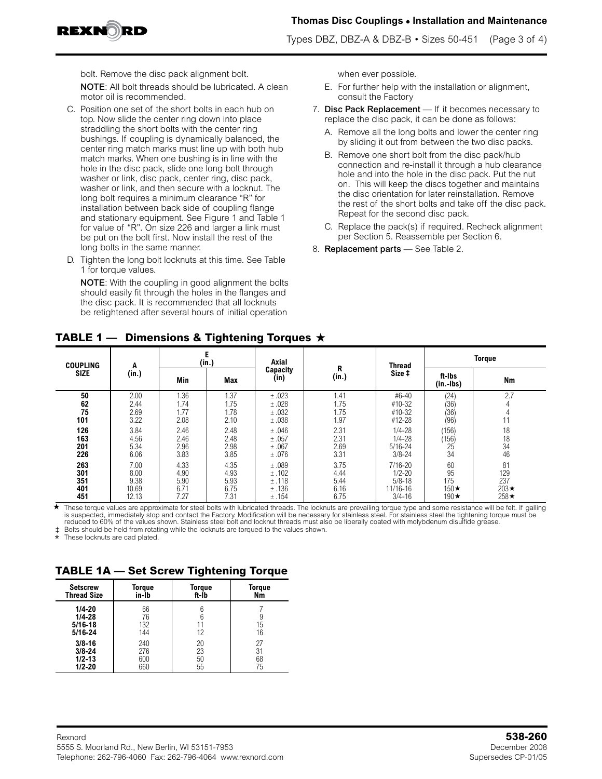

Types DBZ, DBZ-A & DBZ-B  $\cdot$  Sizes 50-451 (Page 3 of 4)

bolt. Remove the disc pack alignment bolt.

NOTE: All bolt threads should be lubricated. A clean motor oil is recommended.

- C. Position one set of the short bolts in each hub on top. Now slide the center ring down into place straddling the short bolts with the center ring bushings. If coupling is dynamically balanced, the center ring match marks must line up with both hub match marks. When one bushing is in line with the hole in the disc pack, slide one long bolt through washer or link, disc pack, center ring, disc pack, washer or link, and then secure with a locknut. The long bolt requires a minimum clearance "R" for installation between back side of coupling flange and stationary equipment. See Figure 1 and Table 1 for value of "R". On size 226 and larger a link must be put on the bolt first. Now install the rest of the long bolts in the same manner.
- D. Tighten the long bolt locknuts at this time. See Table 1 for torque values.

NOTE: With the coupling in good alignment the bolts should easily fit through the holes in the flanges and the disc pack. It is recommended that all locknuts be retightened after several hours of initial operation

when ever possible.

- E. For further help with the installation or alignment, consult the Factory
- 7. Disc Pack Replacement If it becomes necessary to replace the disc pack, it can be done as follows:
	- A. Remove all the long bolts and lower the center ring by sliding it out from between the two disc packs.
	- B. Remove one short bolt from the disc pack/hub connection and re-install it through a hub clearance hole and into the hole in the disc pack. Put the nut on. This will keep the discs together and maintains the disc orientation for later reinstallation. Remove the rest of the short bolts and take off the disc pack. Repeat for the second disc pack.
	- C. Replace the pack(s) if required. Recheck alignment per Section 5. Reassemble per Section 6.
- 8. Replacement parts See Table 2.

| <b>COUPLING</b><br><b>SIZE</b>  | A<br>(in.)                             |                                      | (in.)                                | Axial                                     |                                      | <b>Thread</b>                                                     | <b>Torque</b>                                 |                                                |  |  |
|---------------------------------|----------------------------------------|--------------------------------------|--------------------------------------|-------------------------------------------|--------------------------------------|-------------------------------------------------------------------|-----------------------------------------------|------------------------------------------------|--|--|
|                                 |                                        | Min                                  | <b>Max</b>                           | Capacity<br>(in)                          | R<br>(in.)                           | Size ‡                                                            | ft-Ibs<br>$(in.-lbs)$                         | Nm                                             |  |  |
| 50<br>62<br>75<br>101           | 2.00<br>2.44<br>2.69<br>3.22           | 1.36<br>1.74<br>1.77<br>2.08         | 1.37<br>1.75<br>1.78<br>2.10         | ±.023<br>±.028<br>±.032<br>±.038          | 1.41<br>1.75<br>1.75<br>1.97         | #6-40<br>$#10-32$<br>#10-32<br>#12-28                             | (24)<br>(36)<br>(36)<br>(96)                  | 2.7<br>11                                      |  |  |
| 126<br>163<br>201<br>226        | 3.84<br>4.56<br>5.34<br>6.06           | 2.46<br>2.46<br>2.96<br>3.83         | 2.48<br>2.48<br>2.98<br>3.85         | ±.046<br>±.057<br>±.067<br>±.076          | 2.31<br>2.31<br>2.69<br>3.31         | $1/4 - 28$<br>$1/4 - 28$<br>$5/16 - 24$<br>$3/8 - 24$             | (156)<br>(156)<br>25<br>34                    | 18<br>18<br>$\overline{34}$<br>46              |  |  |
| 263<br>301<br>351<br>401<br>451 | 7.00<br>8.00<br>9.38<br>10.69<br>12.13 | 4.33<br>4.90<br>5.90<br>6.71<br>7.27 | 4.35<br>4.93<br>5.93<br>6.75<br>7.31 | ±.089<br>±.102<br>±.118<br>±.136<br>±.154 | 3.75<br>4.44<br>5.44<br>6.16<br>6.75 | $7/16 - 20$<br>$1/2 - 20$<br>$5/8 - 18$<br>11/16-16<br>$3/4 - 16$ | 60<br>95<br>175<br>150 $\star$<br>190 $\star$ | 81<br>129<br>237<br>203 $\star$<br>$258 \star$ |  |  |

**TABLE 1 — Dimensions & Tightening Torques** 

These torque values are approximate for steel bolts with lubricated threads. The locknuts are prevailing torque type and some resistance will be felt. If galling<br>is suspected, immediately stop and contact the Factory. Mod reduced to 60% of the values shown. Stainless steel bolt and locknut threads must also be liberally coated with molybdenum disulfide grease.  $\star$ 

Bolts should be held from rotating while the locknuts are torqued to the values shown.

\* These locknuts are cad plated.

# **TABLE 1A — Set Screw Tightening Torque**

| <b>Setscrew</b>                                        | Toraue                 | Toraue   | <b>Torque</b> |
|--------------------------------------------------------|------------------------|----------|---------------|
| <b>Thread Size</b>                                     | in-Ib                  | ft-Ib    | Nm            |
| $1/4 - 20$<br>$1/4 - 28$<br>$5/16 - 18$<br>$5/16 - 24$ | 66<br>76<br>132<br>144 | 11<br>12 | y<br>15<br>16 |
| $3/8 - 16$                                             | 240                    | 20       | 27            |
| $3/8 - 24$                                             | 276                    | 23       | 31            |
| $1/2 - 13$                                             | 600                    | 50       | 68            |
| $1/2 - 20$                                             | 660                    | 55       | 75            |